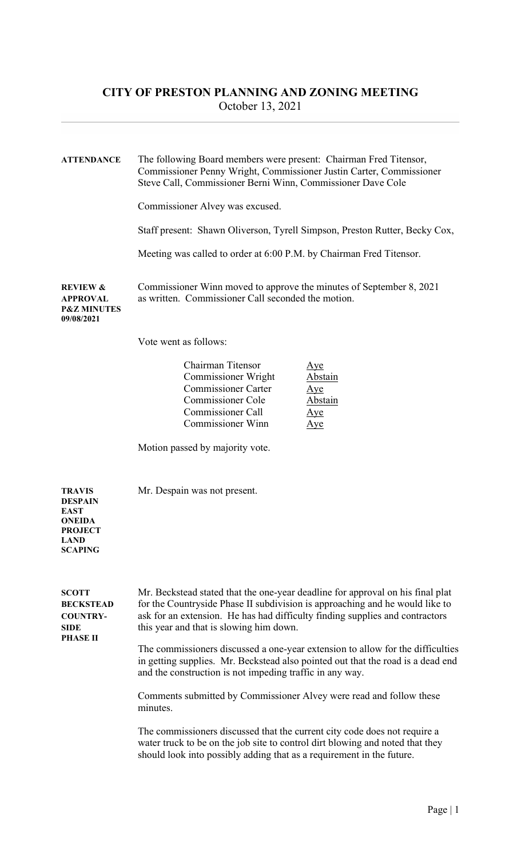## CITY OF PRESTON PLANNING AND ZONING MEETING October 13, 2021

ATTENDANCE The following Board members were present: Chairman Fred Titensor, Commissioner Penny Wright, Commissioner Justin Carter, Commissioner Steve Call, Commissioner Berni Winn, Commissioner Dave Cole

Commissioner Alvey was excused.

Staff present: Shawn Oliverson, Tyrell Simpson, Preston Rutter, Becky Cox,

Meeting was called to order at 6:00 P.M. by Chairman Fred Titensor.

REVIEW & Commissioner Winn moved to approve the minutes of September 8, 2021 APPROVAL as written. Commissioner Call seconded the motion.

Vote went as follows:

| Chairman Titensor          | Aye     |
|----------------------------|---------|
| <b>Commissioner Wright</b> | Abstain |
| <b>Commissioner Carter</b> | Aye     |
| Commissioner Cole          | Abstain |
| Commissioner Call          | Ave     |
| <b>Commissioner Winn</b>   | ye      |

Motion passed by majority vote.

TRAVIS Mr. Despain was not present. DESPAIN EAST **ONEIDA PROJECT** LAND **SCAPING** 

SCOTT Mr. Beckstead stated that the one-year deadline for approval on his final plat BECKSTEAD for the Countryside Phase II subdivision is approaching and he would like to COUNTRY- ask for an extension. He has had difficulty finding supplies and contractors SIDE this year and that is slowing him down. PHASE II The commissioners discussed a one-year extension to allow for the difficulties in getting supplies. Mr. Beckstead also pointed out that the road is a dead end and the construction is not impeding traffic in any way.

> Comments submitted by Commissioner Alvey were read and follow these minutes.

> The commissioners discussed that the current city code does not require a water truck to be on the job site to control dirt blowing and noted that they should look into possibly adding that as a requirement in the future.

P&Z MINUTES 09/08/2021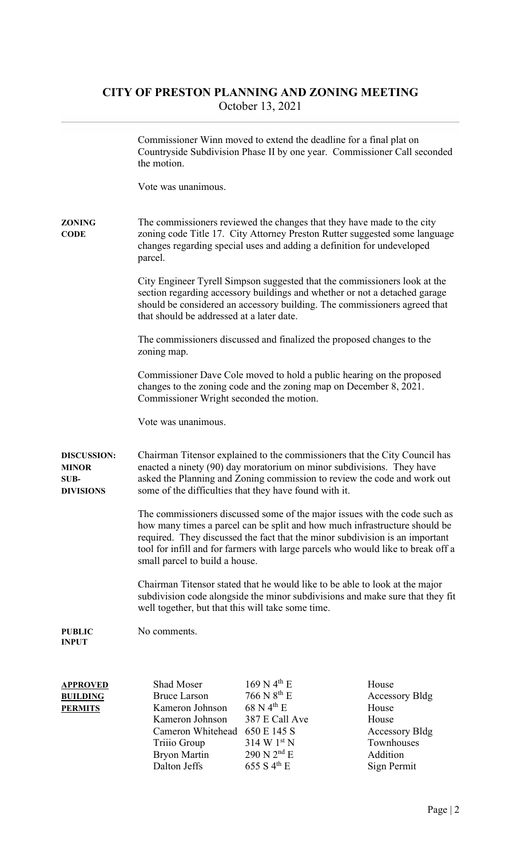## CITY OF PRESTON PLANNING AND ZONING MEETING October 13, 2021

|                                                         | the motion.                                                                                                                                                                                                                                                                                                                                                    | Commissioner Winn moved to extend the deadline for a final plat on<br>Countryside Subdivision Phase II by one year. Commissioner Call seconded                                                                                       |                                                                                                             |  |
|---------------------------------------------------------|----------------------------------------------------------------------------------------------------------------------------------------------------------------------------------------------------------------------------------------------------------------------------------------------------------------------------------------------------------------|--------------------------------------------------------------------------------------------------------------------------------------------------------------------------------------------------------------------------------------|-------------------------------------------------------------------------------------------------------------|--|
|                                                         | Vote was unanimous.                                                                                                                                                                                                                                                                                                                                            |                                                                                                                                                                                                                                      |                                                                                                             |  |
| ZONING<br><b>CODE</b>                                   | The commissioners reviewed the changes that they have made to the city<br>zoning code Title 17. City Attorney Preston Rutter suggested some language<br>changes regarding special uses and adding a definition for undeveloped<br>parcel.                                                                                                                      |                                                                                                                                                                                                                                      |                                                                                                             |  |
|                                                         | that should be addressed at a later date.                                                                                                                                                                                                                                                                                                                      | City Engineer Tyrell Simpson suggested that the commissioners look at the<br>section regarding accessory buildings and whether or not a detached garage<br>should be considered an accessory building. The commissioners agreed that |                                                                                                             |  |
|                                                         | zoning map.                                                                                                                                                                                                                                                                                                                                                    | The commissioners discussed and finalized the proposed changes to the                                                                                                                                                                |                                                                                                             |  |
|                                                         | Commissioner Wright seconded the motion.                                                                                                                                                                                                                                                                                                                       | Commissioner Dave Cole moved to hold a public hearing on the proposed<br>changes to the zoning code and the zoning map on December 8, 2021.                                                                                          |                                                                                                             |  |
|                                                         | Vote was unanimous.                                                                                                                                                                                                                                                                                                                                            |                                                                                                                                                                                                                                      |                                                                                                             |  |
| <b>DISCUSSION:</b><br>MINOR<br>SUB-<br><b>DIVISIONS</b> | Chairman Titensor explained to the commissioners that the City Council has<br>enacted a ninety (90) day moratorium on minor subdivisions. They have<br>asked the Planning and Zoning commission to review the code and work out<br>some of the difficulties that they have found with it.                                                                      |                                                                                                                                                                                                                                      |                                                                                                             |  |
|                                                         | The commissioners discussed some of the major issues with the code such as<br>how many times a parcel can be split and how much infrastructure should be<br>required. They discussed the fact that the minor subdivision is an important<br>tool for infill and for farmers with large parcels who would like to break off a<br>small parcel to build a house. |                                                                                                                                                                                                                                      |                                                                                                             |  |
|                                                         | Chairman Titensor stated that he would like to be able to look at the major<br>subdivision code alongside the minor subdivisions and make sure that they fit<br>well together, but that this will take some time.                                                                                                                                              |                                                                                                                                                                                                                                      |                                                                                                             |  |
| PUBLIC<br>INPUT                                         | No comments.                                                                                                                                                                                                                                                                                                                                                   |                                                                                                                                                                                                                                      |                                                                                                             |  |
| <b>APPROVED</b><br><b>BUILDING</b><br><u>PERMITS</u>    | <b>Shad Moser</b><br><b>Bruce Larson</b><br>Kameron Johnson<br>Kameron Johnson<br>Cameron Whitehead<br>Triiio Group<br><b>Bryon Martin</b><br>Dalton Jeffs                                                                                                                                                                                                     | $169$ N 4 <sup>th</sup> E<br>766 N 8 <sup>th</sup> E<br>$68$ N 4 <sup>th</sup> E<br>387 E Call Ave<br>650 E 145 S<br>$314 W1^{st} N$<br>$290$ N $2nd$ E<br>655 S $4^{\text{th}}$ E                                                   | House<br><b>Accessory Bldg</b><br>House<br>House<br>Accessory Bldg<br>Townhouses<br>Addition<br>Sign Permit |  |